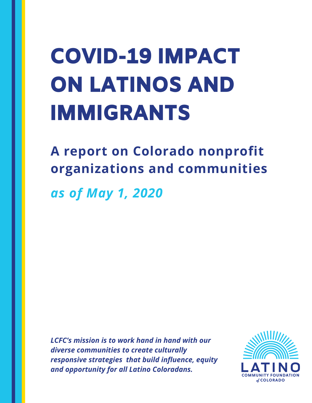# COVID-19 IMPACT ON LATINOS AND IMMIGRANTS

**A report on Colorado nonprofit organizations and communities** *as of May 1, 2020*

*LCFC's mission is to work hand in hand with our diverse communities to create culturally responsive strategies that build influence, equity and opportunity for all Latino Coloradans.*

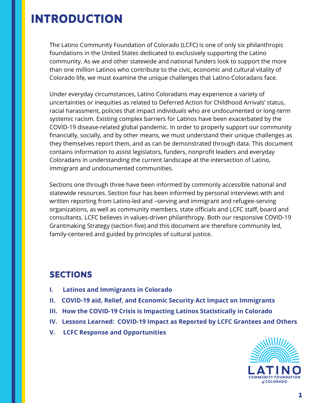### INTRODUCTION

The Latino Community Foundation of Colorado (LCFC) is one of only six philanthropic foundations in the United States dedicated to exclusively supporting the Latino community. As we and other statewide and national funders look to support the more than one million Latinos who contribute to the civic, economic and cultural vitality of Colorado life, we must examine the unique challenges that Latino Coloradans face.

Under everyday circumstances, Latino Coloradans may experience a variety of uncertainties or inequities as related to Deferred Action for Childhood Arrivals' status, racial harassment, policies that impact individuals who are undocumented or long-term systemic racism. Existing complex barriers for Latinos have been exacerbated by the COVID-19 disease-related global pandemic. In order to properly support our community financially, socially, and by other means, we must understand their unique challenges as they themselves report them, and as can be demonstrated through data. This document contains information to assist legislators, funders, nonprofit leaders and everyday Coloradans in understanding the current landscape at the intersection of Latino, immigrant and undocumented communities.

Sections one through three have been informed by commonly accessible national and statewide resources. Section four has been informed by personal interviews with and written reporting from Latino-led and –serving and immigrant and refugee-serving organizations, as well as community members, state officials and LCFC staff, board and consultants. LCFC believes in values-driven philanthropy. Both our responsive COVID-19 Grantmaking Strategy (section five) and this document are therefore community led, family-centered and guided by principles of cultural justice.

### **SECTIONS**

- **I. Latinos and Immigrants in Colorado**
- **II. COVID-19 aid, Relief, and Economic Security Act Impact on Immigrants**
- **III. How the COVID-19 Crisis is Impacting Latinos Statistically in Colorado**
- **IV. Lessons Learned: COVID-19 Impact as Reported by LCFC Grantees and Others**
- **V. LCFC Response and Opportunities**

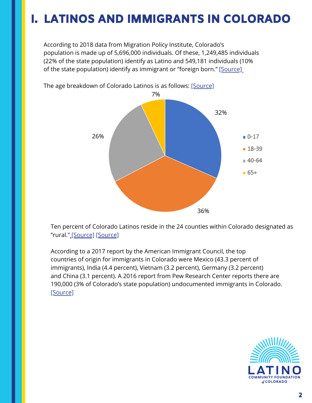### I. LATINOS AND IMMIGRANTS IN COLORADO

According to 2018 data from Migration Policy Institute, Colorado's population is made up of 5,696,000 individuals. Of these, 1,249,485 individuals (22% of the state population) identify as Latino and 549,181 individuals (10% of the state population) identify as immigrant or "foreign born." [\[Source\]](https://www.migrationpolicy.org/data/state-profiles/state/demographics/CO/US)



The age breakdown of Colorado Latinos is as follows: [\[Source\]](https://gis.dola.colorado.gov/apps/age_by_race/)

Ten percent of Colorado Latinos reside in the 24 counties within Colorado designated as "rural." [\[Source\]](https://gis.dola.colorado.gov/apps/age_by_race/) [\[Source\]](https://www.colorado.gov/pacific/sites/default/files/PCO_CHSC_CountyDesignations_2016.pdf)

According to a 2017 report by the American Immigrant Council, the top countries of origin for immigrants in Colorado were Mexico (43.3 percent of immigrants), India (4.4 percent), Vietnam (3.2 percent), Germany (3.2 percent) and China (3.1 percent). A 2016 report from Pew Research Center reports there are 190,000 (3% of Colorado's state population) undocumented immigrants in Colorado. [\[Source\]](https://www.pewresearch.org/hispanic/interactives/u-s-unauthorized-immigrants-by-state/)

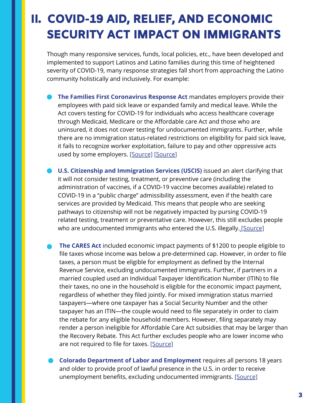### II. COVID-19 AID, RELIEF, AND ECONOMIC SECURITY ACT IMPACT ON IMMIGRANTS

Though many responsive services, funds, local policies, etc., have been developed and implemented to support Latinos and Latino families during this time of heightened severity of COVID-19, many response strategies fall short from approaching the Latino community holistically and inclusively. For example:

- **The Families First Coronavirus Response Act** mandates employers provide their employees with paid sick leave or expanded family and medical leave. While the Act covers testing for COVID-19 for individuals who access healthcare coverage through Medicaid, Medicare or the Affordable care Act and those who are uninsured, it does not cover testing for undocumented immigrants. Further, while there are no immigration status-related restrictions on eligibility for paid sick leave, it fails to recognize worker exploitation, failure to pay and other oppressive acts used by some employers. [\[Source\]](https://www.nilc.org/issues/health-care/update-on-access-to-health-care-for-immigrants-and-their-families/) [\[](https://www.nilc.org/issues/health-care/update-on-access-to-health-care-for-immigrants-and-their-families/)[Source\]](https://www.afscme.org/downloadable-asset/AFSCME-Legislative-Fact-Sheet-Families-First-Coronavirus-Response-Act.pdf)
- **U.S. Citizenship and Immigration Services (USCIS)** issued an alert clarifying that it will not consider testing, treatment, or preventive care (including the administration of vaccines, if a COVID-19 vaccine becomes available) related to COVID-19 in a "public charge" admissibility assessment, even if the health care services are provided by Medicaid. This means that people who are seeking pathways to citizenship will not be negatively impacted by pursing COVID-19 related testing, treatment or preventative care. However, this still excludes people who are undocumented immigrants who entered the U.S. illegally. [\[Source\]](https://www.uscis.gov/green-card/green-card-processes-and-procedures/public-charge)
- **The CARES Act** included economic impact payments of \$1200 to people eligible to file taxes whose income was below a pre-determined cap. However, in order to file taxes, a person must be eligible for employment as defined by the Internal Revenue Service, excluding undocumented immigrants. Further, if partners in a married coupled used an Individual Taxpayer Identification Number (ITIN) to file their taxes, no one in the household is eligible for the economic impact payment, regardless of whether they filed jointly. For mixed immigration status married taxpayers—where one taxpayer has a Social Security Number and the other taxpayer has an ITIN—the couple would need to file separately in order to claim the rebate for any eligible household members. However, filing separately may render a person ineligible for Affordable Care Act subsidies that may be larger than the Recovery Rebate. This Act further excludes people who are lower income who are not required to file for taxes. [\[Source\]](https://home.treasury.gov/policy-issues/cares/assistance-for-american-workers-and-families)
	- **Colorado Department of Labor and Employment** requires all persons 18 years and older to provide proof of lawful presence in the U.S. in order to receive unemployment benefits, excluding undocumented immigrants. [\[Source\]](https://www.colorado.gov/pacific/cdle/file-claim)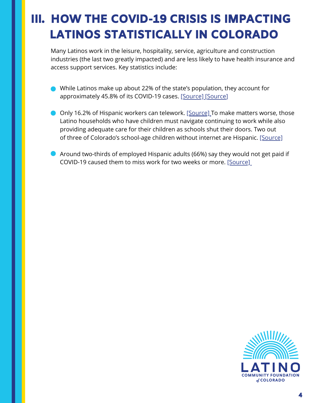# III. HOW THE COVID-19 CRISIS IS IMPACTING LATINOS STATISTICALLY IN COLORADO

Many Latinos work in the leisure, hospitality, service, agriculture and construction industries (the last two greatly impacted) and are less likely to have health insurance and access support services. Key statistics include:

- While Latinos make up about 22% of the state's population, they account for approximately 45.8% of its COVID-19 cases. [\[Source\]](https://denverite.com/2020/05/01/the-coronavirus-disproportionately-affects-latinos-and-blacks-in-denver-but-experts-arent-sure-why/) [Source]
- Only 16.2% of Hispanic workers can telework. [\[Source\]](https://www.epi.org/blog/black-and-hispanic-workers-are-much-less-likely-to-be-able-to-work-from-home/) To make matters worse, those Latino households who have children must navigate continuing to work while also providing adequate care for their children as schools shut their doors. Two out of three of Colorado's school-age children without internet are Hispanic. [\[Source\]](https://wp-cpr.s3.amazonaws.com/uploads/2020/04/colorado-remote-learning-impact-final.pdf)
- Around two-thirds of employed Hispanic adults (66%) say they would not get paid if COVID-19 caused them to miss work for two weeks or more. [\[Source\]](https://www.pewresearch.org/fact-tank/2020/03/24/hispanics-more-likely-than-americans-overall-to-see-coronavirus-as-a-major-threat-to-health-and-finances/)

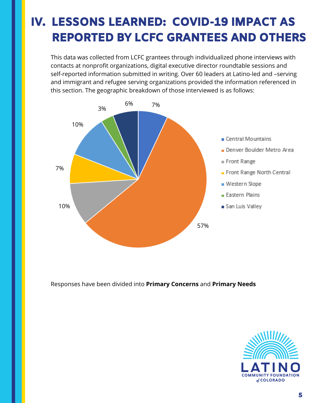This data was collected from LCFC grantees through individualized phone interviews with contacts at nonprofit organizations, digital executive director roundtable sessions and self-reported information submitted in writing. Over 60 leaders at Latino-led and –serving and immigrant and refugee serving organizations provided the information referenced in this section. The geographic breakdown of those interviewed is as follows:



Responses have been divided into **Primary Concerns** and **Primary Needs**

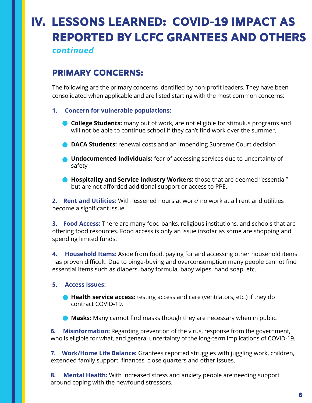*continued*

### PRIMARY CONCERNS:

The following are the primary concerns identified by non-profit leaders. They have been consolidated when applicable and are listed starting with the most common concerns:

- **1. Concern for vulnerable populations:**
	- **College Students:** many out of work, are not eligible for stimulus programs and will not be able to continue school if they can't find work over the summer.
	- **DACA Students:** renewal costs and an impending Supreme Court decision
	- **Undocumented Individuals:** fear of accessing services due to uncertainty of safety
	- **Hospitality and Service Industry Workers:** those that are deemed "essential" but are not afforded additional support or access to PPE.

**2. Rent and Utilities:** With lessened hours at work/ no work at all rent and utilities become a significant issue.

**3. Food Access:** There are many food banks, religious institutions, and schools that are offering food resources. Food access is only an issue insofar as some are shopping and spending limited funds.

**4. Household Items:** Aside from food, paying for and accessing other household items has proven difficult. Due to binge-buying and overconsumption many people cannot find essential items such as diapers, baby formula, baby wipes, hand soap, etc.

#### **5. Access Issues:**

**Health service access:** testing access and care (ventilators, etc.) if they do contract COVID-19.

**Masks:** Many cannot find masks though they are necessary when in public.

**6. Misinformation:** Regarding prevention of the virus, response from the government, who is eligible for what, and general uncertainty of the long-term implications of COVID-19.

**7. Work/Home Life Balance:** Grantees reported struggles with juggling work, children, extended family support, finances, close quarters and other issues.

**8. Mental Health:** With increased stress and anxiety people are needing support around coping with the newfound stressors.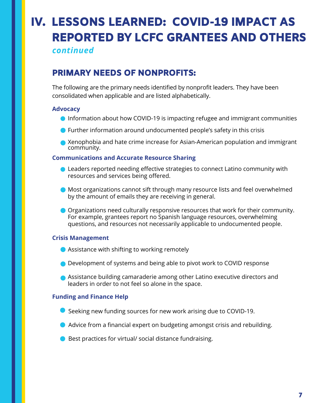*continued*

### PRIMARY NEEDS OF NONPROFITS:

The following are the primary needs identified by nonprofit leaders. They have been consolidated when applicable and are listed alphabetically.

#### **Advocacy**

- Information about how COVID-19 is impacting refugee and immigrant communities
- Further information around undocumented people's safety in this crisis
- Xenophobia and hate crime increase for Asian-American population and immigrant community.

#### **Communications and Accurate Resource Sharing**

- Leaders reported needing effective strategies to connect Latino community with resources and services being offered.
- Most organizations cannot sift through many resource lists and feel overwhelmed by the amount of emails they are receiving in general.
- Organizations need culturally responsive resources that work for their community. For example, grantees report no Spanish language resources, overwhelming questions, and resources not necessarily applicable to undocumented people.

#### **Crisis Management**

- Assistance with shifting to working remotely
- Development of systems and being able to pivot work to COVID response
- Assistance building camaraderie among other Latino executive directors and leaders in order to not feel so alone in the space.

#### **Funding and Finance Help**

- Seeking new funding sources for new work arising due to COVID-19.
- Advice from a financial expert on budgeting amongst crisis and rebuilding.
- Best practices for virtual/ social distance fundraising.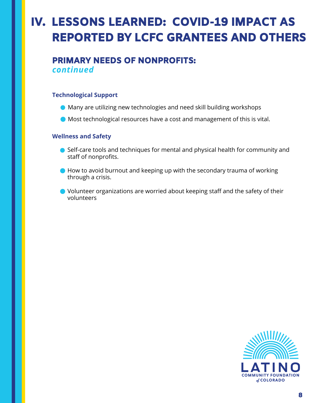### PRIMARY NEEDS OF NONPROFITS: *continued*

#### **Technological Support**

- Many are utilizing new technologies and need skill building workshops
- Most technological resources have a cost and management of this is vital.

#### **Wellness and Safety**

- Self-care tools and techniques for mental and physical health for community and staff of nonprofits.
- How to avoid burnout and keeping up with the secondary trauma of working through a crisis.
- Volunteer organizations are worried about keeping staff and the safety of their volunteers

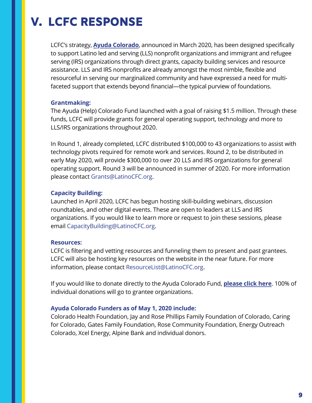## V. LCFC RESPONSE

LCFC's strategy, **Ayuda [Colorado](http://latinocfc.org/ayudacolorado)**, announced in March 2020, has been designed specifically to support Latino led and serving (LLS) nonprofit organizations and immigrant and refugee serving (IRS) organizations through direct grants, capacity building services and resource assistance. LLS and IRS nonprofits are already amongst the most nimble, flexible and resourceful in serving our marginalized community and have expressed a need for multifaceted support that extends beyond financial—the typical purview of foundations.

#### **Grantmaking:**

The Ayuda (Help) Colorado Fund launched with a goal of raising \$1.5 million. Through these funds, LCFC will provide grants for general operating support, technology and more to LLS/IRS organizations throughout 2020.

In Round 1, already completed, LCFC distributed \$100,000 to 43 organizations to assist with technology pivots required for remote work and services. Round 2, to be distributed in early May 2020, will provide \$300,000 to over 20 LLS and IRS organizations for general operating support. Round 3 will be announced in summer of 2020. For more information please contact Grants@LatinoCFC.org.

#### **Capacity Building:**

Launched in April 2020, LCFC has begun hosting skill-building webinars, discussion roundtables, and other digital events. These are open to leaders at LLS and IRS organizations. If you would like to learn more or request to join these sessions, please email CapacityBuilding@LatinoCFC.org.

#### **Resources:**

LCFC is filtering and vetting resources and funneling them to present and past grantees. LCFC will also be hosting key resources on the website in the near future. For more information, please contact ResourceList@LatinoCFC.org.

If you would like to donate directly to the Ayuda Colorado Fund, **[please](https://latinocfc.fcsuite.com/erp/donate/) click here**. 100% of individual donations will go to grantee organizations.

#### **Ayuda Colorado Funders as of May 1, 2020 include:**

Colorado Health Foundation, Jay and Rose Phillips Family Foundation of Colorado, Caring for Colorado, Gates Family Foundation, Rose Community Foundation, Energy Outreach Colorado, Xcel Energy, Alpine Bank and individual donors.